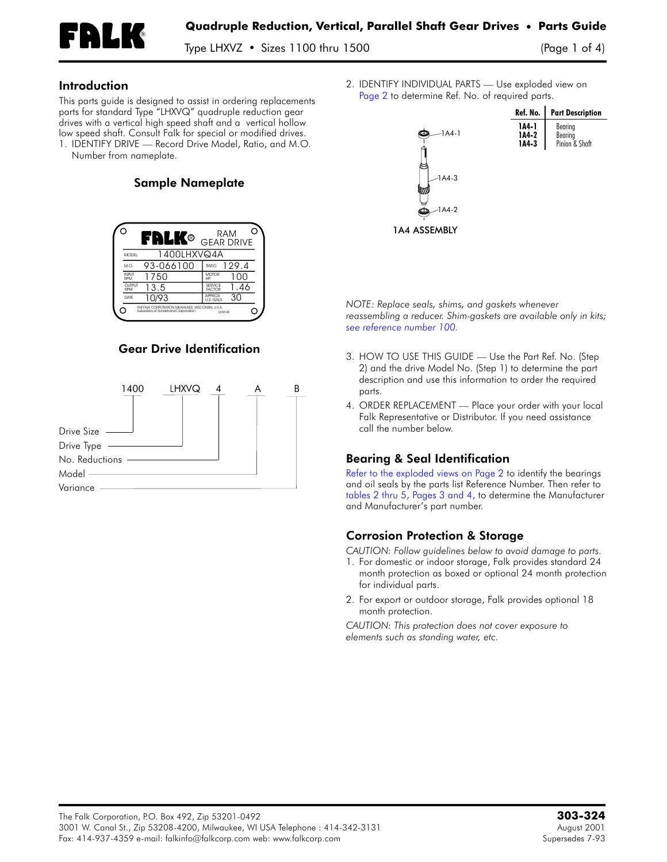

Type LHXVZ • Sizes 1100 thru 1500 (Page 1 of 4)

#### Introduction

This parts guide is designed to assist in ordering replacements parts for standard Type "LHXVQ" quadruple reduction gear drives with a vertical high speed shaft and a vertical hollow low speed shaft. Consult Falk for special or modified drives. 1. **IDENTIFY DRIVE —** Record Drive Model, Ratio, and M.O.

Number from nameplate.

# Sample Nameplate

|                      | FRLK®                                                                                     | RAM<br><b>GEAR DRIVE</b>        |
|----------------------|-------------------------------------------------------------------------------------------|---------------------------------|
| <b>MODEL</b>         | 1400LHXVQ4A                                                                               |                                 |
| $M.\Omega$           | 93-066100                                                                                 | 129.4<br>RATIO                  |
| <b>INPLIT</b><br>RPM | 750                                                                                       | <b>MOTOR</b><br>m<br>HP         |
| OUTPUT<br>RPM        | 13.5                                                                                      | SERVICE<br>.46<br><b>FACTOR</b> |
| DATE                 | 0/93                                                                                      | <b>APPROX</b><br>U.S. GALS      |
|                      | THE FALK CORPORATION MILWAUKEE, WISCONSIN, U.S.A.<br>Subsidiary of Sundstrand Corporation | 1229140                         |

### Gear Drive Identification



2. **IDENTIFY INDIVIDUAL PARTS —** Use exploded view on [Page](#page-1-0) 2 to determine Ref. No. of required parts.



*NOTE: Replace seals, shims, and gaskets whenever reassembling a reducer. Shim-gaskets are available only in kits; see [reference](#page-2-0) number 100.*

- 3. **HOW TO USE THIS GUIDE —** Use the Part Ref. No. (Step 2) and the drive Model No. (Step 1) to determine the part description and use this information to order the required parts.
- 4. **ORDER REPLACEMENT —** Place your order with your local Falk Representative or Distributor. If you need assistance call the number below.

# Bearing & Seal Identification

Refer to the [exploded](#page-1-0) views on Page 2 to identify the bearings and oil seals by the parts list Reference Number. Then refer to [tables](#page-2-1) 2 thru 5, Pages 3 and 4, to determine the Manufacturer and Manufacturer's part number.

# Corrosion Protection & Storage

*CAUTION: Follow guidelines below to avoid damage to parts.*

- 1. For domestic or indoor storage, Falk provides standard 24 month protection as boxed or optional 24 month protection for individual parts.
- 2. For export or outdoor storage, Falk provides optional 18 month protection.

*CAUTION: This protection does not cover exposure to elements such as standing water, etc.*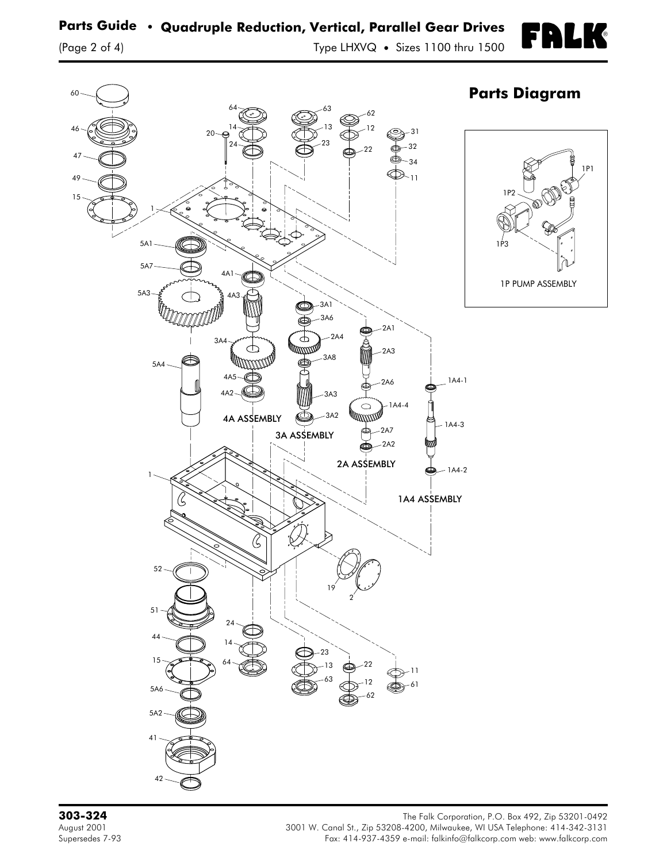®

M

<span id="page-1-0"></span>

**303-324** The Falk Corporation, P.O. Box 492, Zip 53201-0492 August 2001 3001 W. Canal St., Zip 53208-4200, Milwaukee, WI USA Telephone: 414-342-3131 Fax: 414-937-4359 e-mail: falkinfo@falkcorp.com web: www.falkcorp.com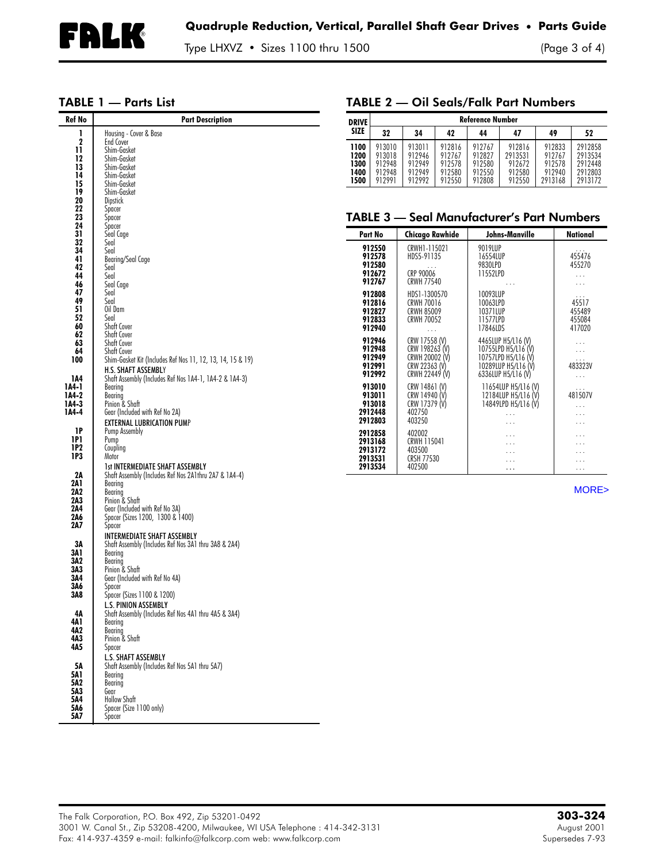TABLE 2 — Oil Seals/Falk Part Numbers

### <span id="page-2-1"></span>TABLE 1 — Parts List

<span id="page-2-0"></span>

| Ref No                | <b>Part Description</b>                                                          | <b>DRIVE</b> | <b>Reference Number</b> |                                   |                  |                      |                                                   |                   |                      |
|-----------------------|----------------------------------------------------------------------------------|--------------|-------------------------|-----------------------------------|------------------|----------------------|---------------------------------------------------|-------------------|----------------------|
|                       | Housing - Cover & Base                                                           | SIZE         | 32                      | 34                                | 42               | 44                   | 47                                                | 49                | 52                   |
| $\mathbf 2$           | End Cover                                                                        | 1100         | 913010                  | 913011                            | 912816           | 912767               | 912816                                            | 912833            | 2912858              |
| 11<br>12              | Shim-Gasket<br>Shim-Gasket                                                       | 1200         | 913018                  | 912946                            | 912767           | 912827               | 2913531                                           | 912767            | 2913534              |
| 13                    | Shim-Gasket                                                                      | 1300         | 912948                  | 912949                            | 912578           | 912580               | 912672                                            | 912578            | 2912448              |
| 14                    | Shim-Gasket                                                                      | 1400<br>1500 | 912948<br>912991        | 912949<br>912992                  | 912580<br>912550 | 912550<br>912808     | 912580<br>912550                                  | 912940<br>2913168 | 2912803<br>2913172   |
| 15<br>19              | Shim-Gasket<br>Shim-Gasket                                                       |              |                         |                                   |                  |                      |                                                   |                   |                      |
| 20                    | Dipstick                                                                         |              |                         |                                   |                  |                      |                                                   |                   |                      |
| 22                    | Spacer                                                                           |              |                         |                                   |                  |                      |                                                   |                   |                      |
| 23<br>$\overline{24}$ | Spacer                                                                           |              |                         |                                   |                  |                      | <b>TABLE 3 - Seal Manufacturer's Part Numbers</b> |                   |                      |
| 31                    | Spacer<br>Seal Cage                                                              |              | Part No                 | <b>Chicago Rawhide</b>            |                  |                      | Johns-Manville                                    |                   | <b>National</b>      |
| 32                    | Seal                                                                             |              | 912550                  |                                   |                  | 9019LUP              |                                                   |                   |                      |
| 34<br>41              | Seal<br>Bearing/Seal Cage                                                        |              | 912578                  | CRWH1-115021<br>HDS5-91135        |                  | 16554LUP             |                                                   |                   | 455476               |
| 42                    | Seal                                                                             |              | 912580                  |                                   |                  | 9830LPD              |                                                   |                   | 455270               |
| 44                    | Seal                                                                             |              | 912672                  | CRP 90006                         |                  | 11552LPD             |                                                   |                   | $\ldots$             |
| 46                    | Seal Cage                                                                        |              | 912767                  | <b>CRWH 77540</b>                 |                  |                      | $\cdots$                                          |                   | $\ldots$             |
| 47<br>49              | Seal<br>Seal                                                                     |              | 912808<br>912816        | HDS1-1300570<br><b>CRWH 70016</b> |                  | 10093LUP<br>10063LPD |                                                   |                   | 45517                |
| 51                    | Oil Dam                                                                          |              | 912827                  | <b>CRWH 85009</b>                 |                  | 10371LUP             |                                                   |                   | 455489               |
| 52<br>60              | Seal<br><b>Shaft Cover</b>                                                       |              | 912833                  | <b>CRWH 70052</b>                 |                  | 11577LPD             |                                                   |                   | 455084               |
| 62                    | Shaft Cover                                                                      |              | 912940                  | $\ldots$                          |                  | 17846LDS             |                                                   |                   | 417020               |
| 63                    | Shaft Cover                                                                      |              | 912946                  | CRW 17558 (V)                     |                  |                      | 4465LUP H5/L16 (V)                                |                   | $\ldots$             |
| 64<br>100             | <b>Shaft Cover</b><br>Shim-Gasket Kit (Includes Ref Nos 11, 12, 13, 14, 15 & 19) |              | 912948<br>912949        | CRW 198263 (V)<br>CRWH 20002 (V)  |                  |                      | 10755LPD H5/L16 (V)<br>10757LPD H5/L16 (V)        |                   | $\ldots$             |
|                       | <b>H.S. SHAFT ASSEMBLY</b>                                                       |              | 912991                  | CRW 22363 (V)                     |                  |                      | 10289LUP H5/L16 (V)                               |                   | 483323V              |
| 1A4                   | Shaft Assembly (Includes Ref Nos 1A4-1, 1A4-2 & 1A4-3)                           |              | 912992                  | CRWH 22449 (V)                    |                  |                      | 6336LUP H5/L16 (V)                                |                   | $\ldots$             |
| 1A4-1                 | Bearing                                                                          |              | 913010                  | CRW 14861 (V)                     |                  |                      | 11654LUP H5/L16 (V)                               |                   |                      |
| 1A4-2<br>1A4-3        | Bearing<br>Pinion & Shaft                                                        |              | 913011<br>913018        | CRW 14940 (V)<br>CRW 17379 (V)    |                  |                      | 12184LUP H5/L16 (V)<br>14849LPD H5/L16 (V)        |                   | 481507V              |
| 1A4-4                 | Gear (Included with Ref No 2A)                                                   |              | 2912448                 | 402750                            |                  |                      | $\ldots$                                          |                   | $\ldots$<br>$\ldots$ |
|                       | <b>EXTERNAL LUBRICATION PUMP</b>                                                 |              | 2912803                 | 403250                            |                  |                      | $\cdots$                                          |                   | $\ldots$             |
| 1P                    | Pump Assembly                                                                    |              | 2912858                 | 402002                            |                  |                      | $\ldots$                                          |                   | $\cdots$             |
| 1P1<br>1P2            | Pump<br>Coupling                                                                 |              | 2913168                 | CRWH 115041                       |                  |                      | $\ldots$                                          |                   | $\ldots$             |
| 1P3                   | Motor                                                                            |              | 2913172<br>2913531      | 403500<br><b>CRSH 77530</b>       |                  |                      | $\cdots$<br>$\cdots$                              |                   | .<br>$\ldots$        |
|                       | <b>1st INTERMEDIATE SHAFT ASSEMBLY</b>                                           |              | 2913534                 | 402500                            |                  |                      | $\ldots$                                          |                   | $\ldots$             |
| 2A<br>2A1             | Shaft Assembly (Includes Ref Nos 2A1thru 2A7 & 1A4-4)                            |              |                         |                                   |                  |                      |                                                   |                   |                      |
| 2A2                   | Bearing<br>Bearing                                                               |              |                         |                                   |                  |                      |                                                   |                   | MORE>                |
| 2A3                   | Pinion & Shaft                                                                   |              |                         |                                   |                  |                      |                                                   |                   |                      |
| 2A4<br>2A6            | Gear (Included with Ref No 3A)<br>Spacer (Sizes 1200, 1300 & 1400)               |              |                         |                                   |                  |                      |                                                   |                   |                      |
| 2A7                   | Spacer                                                                           |              |                         |                                   |                  |                      |                                                   |                   |                      |
|                       | <b>INTERMEDIATE SHAFT ASSEMBLY</b>                                               |              |                         |                                   |                  |                      |                                                   |                   |                      |
| 3Α                    | Shaft Assembly (Includes Ref Nos 3A1 thru 3A8 & 2A4)                             |              |                         |                                   |                  |                      |                                                   |                   |                      |
| 3Α1<br>3A2            | Bearing<br>Bearing                                                               |              |                         |                                   |                  |                      |                                                   |                   |                      |
| 3A3                   | Pinion & Shaft                                                                   |              |                         |                                   |                  |                      |                                                   |                   |                      |
| 3A4                   | Gear (Included with Ref No 4A)                                                   |              |                         |                                   |                  |                      |                                                   |                   |                      |
| 3Α6<br>3A8            | Spacer<br>Spacer (Sizes 1100 & 1200)                                             |              |                         |                                   |                  |                      |                                                   |                   |                      |
|                       | <b>L.S. PINION ASSEMBLY</b>                                                      |              |                         |                                   |                  |                      |                                                   |                   |                      |
| 4Α                    | Shaft Assembly (Includes Ref Nos 4A1 thru 4A5 & 3A4)                             |              |                         |                                   |                  |                      |                                                   |                   |                      |
| 4Α1<br>4A2            | Bearing                                                                          |              |                         |                                   |                  |                      |                                                   |                   |                      |
| 4А3                   | Bearing<br>Pinion & Shaft                                                        |              |                         |                                   |                  |                      |                                                   |                   |                      |
| 4A5                   | Spacer                                                                           |              |                         |                                   |                  |                      |                                                   |                   |                      |
|                       | <b>L.S. SHAFT ASSEMBLY</b>                                                       |              |                         |                                   |                  |                      |                                                   |                   |                      |
| 5Α<br>5A1             | Shaft Assembly (Includes Ref Nos 5A1 thru 5A7)<br>Bearing                        |              |                         |                                   |                  |                      |                                                   |                   |                      |
| 5A2                   | Bearing                                                                          |              |                         |                                   |                  |                      |                                                   |                   |                      |
| 5Λ3                   | Gear                                                                             |              |                         |                                   |                  |                      |                                                   |                   |                      |
| 5Λ4<br>5Α6            | <b>Hollow Shaft</b><br>Spacer (Size 1100 only)                                   |              |                         |                                   |                  |                      |                                                   |                   |                      |
| 5A7                   | Spacer                                                                           |              |                         |                                   |                  |                      |                                                   |                   |                      |